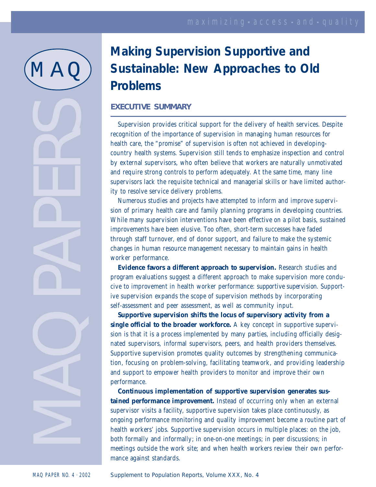# $\mathbb M$   $\mathbb A$

# MAD PERS

## **Making Supervision Supportive and Sustainable: New Approaches to Old Problems**

### **EXECUTIVE SUMMARY**

Supervision provides critical support for the delivery of health services. Despite recognition of the importance of supervision in managing human resources for health care, the "promise" of supervision is often not achieved in developingcountry health systems. Supervision still tends to emphasize inspection and control by external supervisors, who often believe that workers are naturally unmotivated and require strong controls to perform adequately. At the same time, many line supervisors lack the requisite technical and managerial skills or have limited authority to resolve service delivery problems.

Numerous studies and projects have attempted to inform and improve supervision of primary health care and family planning programs in developing countries. While many supervision interventions have been effective on a pilot basis, sustained improvements have been elusive. Too often, short-term successes have faded through staff turnover, end of donor support, and failure to make the systemic changes in human resource management necessary to maintain gains in health worker performance.

**Evidence favors a different approach to supervision.** Research studies and program evaluations suggest a different approach to make supervision more conducive to improvement in health worker performance: *supportive supervision*. Supportive supervision expands the scope of supervision methods by incorporating self-assessment and peer assessment, as well as community input.

**Supportive supervision shifts the locus of supervisory activity from a single official to the broader workforce.** A key concept in supportive supervision is that it is a process implemented by many parties, including officially designated supervisors, informal supervisors, peers, and health providers themselves. Supportive supervision promotes quality outcomes by strengthening communication, focusing on problem-solving, facilitating teamwork, and providing leadership and support to empower health providers to monitor and improve their own performance.

**Continuous implementation of supportive supervision generates sustained performance improvement.** Instead of occurring only when an external supervisor visits a facility, supportive supervision takes place continuously, as ongoing performance monitoring and quality improvement become a routine part of health workers' jobs. Supportive supervision occurs in multiple places: on the job, both formally and informally; in one-on-one meetings; in peer discussions; in meetings outside the work site; and when health workers review their own performance against standards.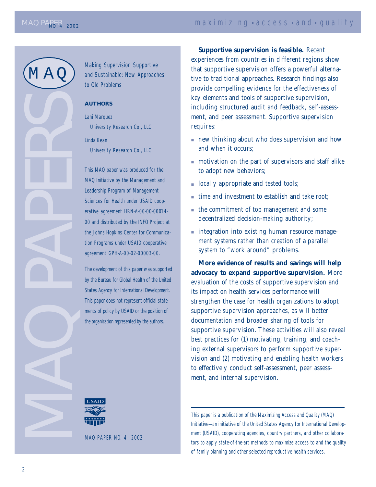M A Q

MAD PAPS

Making Supervision Supportive and Sustainable: New Approaches to Old Problems

### **AUTHORS**

Lani Marquez University Research Co., LLC

Linda Kean University Research Co., LLC

This MAQ paper was produced for the MAQ Initiative by the Management and Leadership Program of Management Sciences for Health under USAID cooperative agreement HRN-A-00-00-00014- 00 and distributed by the INFO Project at the Johns Hopkins Center for Communication Programs under USAID cooperative agreement GPH-A-00-02-00003-00.

The development of this paper was supported by the Bureau for Global Health of the United States Agency for International Development. This paper does not represent official statements of policy by USAID or the position of the organization represented by the authors.

**Supportive supervision is feasible.** Recent experiences from countries in different regions show that supportive supervision offers a powerful alternative to traditional approaches. Research findings also provide compelling evidence for the effectiveness of key elements and tools of supportive supervision, including structured audit and feedback, self-assessment, and peer assessment. Supportive supervision requires:

- new thinking about who does supervision and how and when it occurs;
- motivation on the part of supervisors and staff alike to adopt new behaviors;
- locally appropriate and tested tools;
- time and investment to establish and take root:
- the commitment of top management and some decentralized decision-making authority;
- integration into existing human resource management systems rather than creation of a parallel system to "work around" problems.

**More evidence of results and savings will help advocacy to expand supportive supervision.** More evaluation of the costs of supportive supervision and its impact on health services performance will strengthen the case for health organizations to adopt supportive supervision approaches, as will better documentation and broader sharing of tools for supportive supervision. These activities will also reveal best practices for (1) motivating, training, and coaching external supervisors to perform supportive supervision and (2) motivating and enabling health workers to effectively conduct self-assessment, peer assessment, and internal supervision.

This paper is a publication of the Maximizing Access and Quality (MAQ) Initiative—an initiative of the United States Agency for International Development (USAID), cooperating agencies, country partners, and other collaborators to apply state-of-the-art methods to maximize access to and the quality of family planning and other selected reproductive health services.

MAQ PAPER NO. 4 . 2002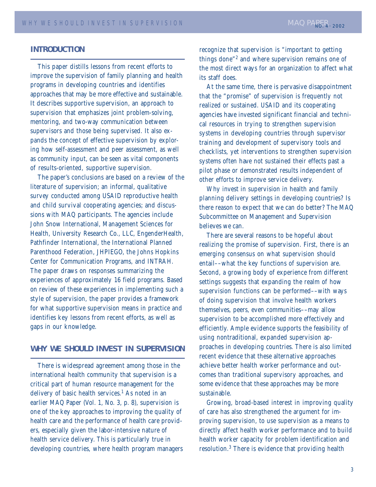### **INTRODUCTION**

This paper distills lessons from recent efforts to improve the supervision of family planning and health programs in developing countries and identifies approaches that may be more effective and sustainable. It describes supportive supervision, an approach to supervision that emphasizes joint problem-solving, mentoring, and two-way communication between supervisors and those being supervised. It also expands the concept of effective supervision by exploring how self-assessment and peer assessment, as well as community input, can be seen as vital components of results-oriented, supportive supervision.

The paper's conclusions are based on a review of the literature of supervision; an informal, qualitative survey conducted among USAID reproductive health and child survival cooperating agencies; and discussions with MAQ participants. The agencies include John Snow International, Management Sciences for Health, University Research Co., LLC, EngenderHealth, Pathfinder International, the International Planned Parenthood Federation, JHPIEGO, the Johns Hopkins Center for Communication Programs, and INTRAH. The paper draws on responses summarizing the experiences of approximately 16 field programs. Based on review of these experiences in implementing such a style of supervision, the paper provides a framework for what supportive supervision means in practice and identifies key lessons from recent efforts, as well as gaps in our knowledge.

### **WHY WE SHOULD INVEST IN SUPERVISION**

There is widespread agreement among those in the international health community that supervision is a critical part of human resource management for the delivery of basic health services.<sup>1</sup> As noted in an earlier MAQ Paper (Vol. 1, No. 3, p. 8), supervision is one of the key approaches to improving the quality of health care and the performance of health care providers, especially given the labor-intensive nature of health service delivery. This is particularly true in developing countries, where health program managers recognize that supervision is "important to getting things done"2 and where supervision remains one of the most direct ways for an organization to affect what its staff does.

At the same time, there is pervasive disappointment that the "promise" of supervision is frequently not realized or sustained. USAID and its cooperating agencies have invested significant financial and technical resources in trying to strengthen supervision systems in developing countries through supervisor training and development of supervisory tools and checklists, yet interventions to strengthen supervision systems often have not sustained their effects past a pilot phase or demonstrated results independent of other efforts to improve service delivery.

Why invest in supervision in health and family planning delivery settings in developing countries? Is there reason to expect that we can do better? The MAQ Subcommittee on Management and Supervision believes we can.

There are several reasons to be hopeful about realizing the promise of supervision. First, there is an emerging consensus on what supervision should entail––what the key functions of supervision are. Second, a growing body of experience from different settings suggests that expanding the realm of how supervision functions can be performed––with ways of doing supervision that involve health workers themselves, peers, even communities––may allow supervision to be accomplished more effectively and efficiently. Ample evidence supports the feasibility of using nontraditional, expanded supervision approaches in developing countries. There is also limited recent evidence that these alternative approaches achieve better health worker performance and outcomes than traditional supervisory approaches, and some evidence that these approaches may be more sustainable.

Growing, broad-based interest in improving quality of care has also strengthened the argument for improving supervision, to use supervision as a means to directly affect health worker performance and to build health worker capacity for problem identification and resolution.<sup>3</sup> There is evidence that providing health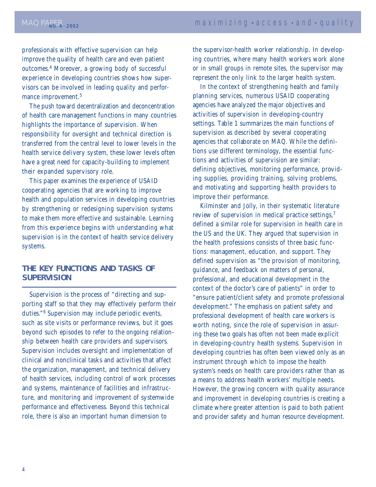professionals with effective supervision can help improve the quality of health care and even patient outcomes.4 Moreover, a growing body of successful experience in developing countries shows how supervisors can be involved in leading quality and performance improvement.<sup>5</sup>

The push toward decentralization and deconcentration of health care management functions in many countries highlights the importance of supervision. When responsibility for oversight and technical direction is transferred from the central level to lower levels in the health service delivery system, these lower levels often have a great need for capacity-building to implement their expanded supervisory role.

This paper examines the experience of USAID cooperating agencies that are working to improve health and population services in developing countries by strengthening or redesigning supervision systems to make them more effective and sustainable. Learning from this experience begins with understanding what supervision is in the context of health service delivery systems.

### **THE KEY FUNCTIONS AND TASKS OF SUPERVISION**

Supervision is the process of "directing and supporting staff so that they may effectively perform their duties."<sup>6</sup> Supervision may include periodic events, such as site visits or performance reviews, but it goes beyond such episodes to refer to the ongoing relationship between health care providers and supervisors. Supervision includes oversight and implementation of clinical and nonclinical tasks and activities that affect the organization, management, and technical delivery of health services, including control of work processes and systems, maintenance of facilities and infrastructure, and monitoring and improvement of systemwide performance and effectiveness. Beyond this technical role, there is also an important human dimension to

the supervisor-health worker relationship. In developing countries, where many health workers work alone or in small groups in remote sites, the supervisor may represent the only link to the larger health system.

In the context of strengthening health and family planning services, numerous USAID cooperating agencies have analyzed the major objectives and activities of supervision in developing-country settings. Table 1 summarizes the main functions of supervision as described by several cooperating agencies that collaborate on MAQ. While the definitions use different terminology, the essential functions and activities of supervision are similar: defining objectives, monitoring performance, providing supplies, providing training, solving problems, and motivating and supporting health providers to improve their performance.

Kilminster and Jolly, in their systematic literature review of supervision in medical practice settings,<sup>7</sup> defined a similar role for supervision in health care in the US and the UK. They argued that supervision in the health professions consists of three basic functions: management, education, and support. They defined supervision as "the provision of monitoring, guidance, and feedback on matters of personal, professional, and educational development in the context of the doctor's care of patients" in order to "ensure patient/client safety and promote professional development." The emphasis on patient safety *and* professional development of health care workers is worth noting, since the role of supervision in assuring these two goals has often not been made explicit in developing-country health systems. Supervision in developing countries has often been viewed only as an instrument through which to impose the health system's needs on health care providers rather than as a means to address health workers' multiple needs. However, the growing concern with quality assurance and improvement in developing countries is creating a climate where greater attention is paid to both patient and provider safety and human resource development.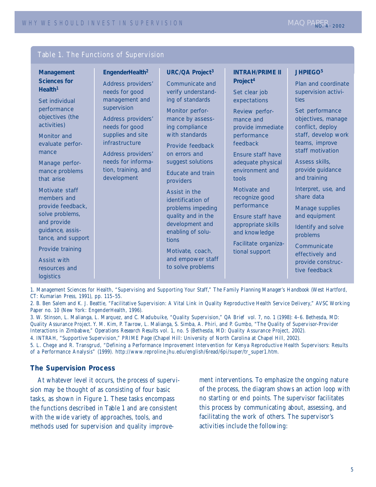| Table 1. The Functions of Supervision                                                                                                                                                                                                                                                                                                                                                                                               |                                                                                                                                                                                                                                                                       |                                                                                                                                                                                                                                                                                                                                                                                                                                                                              |                                                                                                                                                                                                                                                                                                                                                                                                           |                                                                                                                                                                                                                                                                                                                                                                                                                                                     |
|-------------------------------------------------------------------------------------------------------------------------------------------------------------------------------------------------------------------------------------------------------------------------------------------------------------------------------------------------------------------------------------------------------------------------------------|-----------------------------------------------------------------------------------------------------------------------------------------------------------------------------------------------------------------------------------------------------------------------|------------------------------------------------------------------------------------------------------------------------------------------------------------------------------------------------------------------------------------------------------------------------------------------------------------------------------------------------------------------------------------------------------------------------------------------------------------------------------|-----------------------------------------------------------------------------------------------------------------------------------------------------------------------------------------------------------------------------------------------------------------------------------------------------------------------------------------------------------------------------------------------------------|-----------------------------------------------------------------------------------------------------------------------------------------------------------------------------------------------------------------------------------------------------------------------------------------------------------------------------------------------------------------------------------------------------------------------------------------------------|
| Management<br><b>Sciences for</b><br>Health <sup>1</sup><br>Set individual<br>performance<br>objectives (the<br>activities)<br>Monitor and<br>evaluate perfor-<br>mance<br>Manage perfor-<br>mance problems<br>that arise<br>Motivate staff<br>members and<br>provide feedback,<br>solve problems,<br>and provide<br>guidance, assis-<br>tance, and support<br>Provide training<br><b>Assist with</b><br>resources and<br>logistics | EngenderHealth <sup>2</sup><br>Address providers'<br>needs for good<br>management and<br>supervision<br>Address providers'<br>needs for good<br>supplies and site<br>infrastructure<br>Address providers'<br>needs for informa-<br>tion, training, and<br>development | <b>URC/QA Project<sup>3</sup></b><br>Communicate and<br>verify understand-<br>ing of standards<br>Monitor perfor-<br>mance by assess-<br>ing compliance<br>with standards<br>Provide feedback<br>on errors and<br>suggest solutions<br><b>Educate and train</b><br>providers<br>Assist in the<br>identification of<br>problems impeding<br>quality and in the<br>development and<br>enabling of solu-<br>tions<br>Motivate, coach,<br>and empower staff<br>to solve problems | <b>INTRAH/PRIME II</b><br>Project <sup>4</sup><br>Set clear job<br>expectations<br>Review perfor-<br>mance and<br>provide immediate<br>performance<br>feedback<br><b>Ensure staff have</b><br>adequate physical<br>environment and<br>tools<br>Motivate and<br>recognize good<br>performance<br><b>Ensure staff have</b><br>appropriate skills<br>and knowledge<br>Facilitate organiza-<br>tional support | <b>JHPIEGO<sup>5</sup></b><br>Plan and coordinate<br>supervision activi-<br>ties<br>Set performance<br>objectives, manage<br>conflict, deploy<br>staff, develop work<br>teams, improve<br>staff motivation<br>Assess skills,<br>provide guidance<br>and training<br>Interpret, use, and<br>share data<br>Manage supplies<br>and equipment<br>Identify and solve<br>problems<br>Communicate<br>effectively and<br>provide construc-<br>tive feedback |

1. Management Sciences for Health, "Supervising and Supporting Your Staff," *The Family Planning Manager's Handbook* (West Hartford, CT: Kumarian Press, 1991), pp. 115–55.

2. B. Ben Salem and K. J. Beattie, "Facilitative Supervision: A Vital Link in Quality Reproductive Health Service Delivery," AVSC Working Paper no. 10 (New York: EngenderHealth, 1996).

3. W. Stinson, L. Malianga, L. Marquez, and C. Madubuike, "Quality Supervision," *QA Brief* vol. 7, no. 1 (1998): 4–6. Bethesda, MD: Quality Assurance Project. Y. M. Kim, P. Tavrow, L. Malianga, S. Simba, A. Phiri, and P. Gumbo, "The Quality of Supervisor-Provider Interactions in Zimbabwe," *Operations Research Results* vol. 1, no. 5 (Bethesda, MD: Quality Assurance Project, 2002).

4. INTRAH, "Supportive Supervision," *PRIME Page* (Chapel Hill: University of North Carolina at Chapel Hill, 2002).

5. L. Chege and R. Transgrud, "Defining a Performance Improvement Intervention for Kenya Reproductive Health Supervisors: Results of a Performance Analysis" (1999). http://www.reproline.jhu.edu/english/6read/6pi/super/tr\_super1.htm.

### **The Supervision Process**

At whatever level it occurs, the process of supervision may be thought of as consisting of four basic tasks, as shown in Figure 1. These tasks encompass the functions described in Table 1 and are consistent with the wide variety of approaches, tools, and methods used for supervision and quality improvement interventions. To emphasize the ongoing nature of the process, the diagram shows an action loop with no starting or end points. The supervisor facilitates this process by communicating about, assessing, and facilitating the work of others. The supervisor's activities include the following: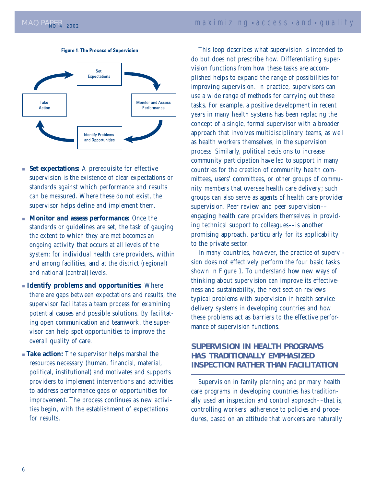



- **Set expectations:** A prerequisite for effective supervision is the existence of clear expectations or standards against which performance and results can be measured. Where these do not exist, the supervisor helps define and implement them.
- **Monitor and assess performance:** Once the standards or guidelines are set, the task of gauging the extent to which they are met becomes an ongoing activity that occurs at all levels of the system: for individual health care providers, within and among facilities, and at the district (regional) and national (central) levels.
- ■ **Identify problems and opportunities:** Where there are gaps between expectations and results, the supervisor facilitates a team process for examining potential causes and possible solutions. By facilitating open communication and teamwork, the supervisor can help spot opportunities to improve the overall quality of care.
- **Take action:** The supervisor helps marshal the resources necessary (human, financial, material, political, institutional) and motivates and supports providers to implement interventions and activities to address performance gaps or opportunities for improvement. The process continues as new activities begin, with the establishment of expectations for results.

This loop describes what supervision is intended to do but does not prescribe how. Differentiating supervision functions from how these tasks are accomplished helps to expand the range of possibilities for improving supervision. In practice, supervisors can use a wide range of methods for carrying out these tasks. For example, a positive development in recent years in many health systems has been replacing the concept of a single, formal supervisor with a broader approach that involves multidisciplinary teams, as well as health workers themselves, in the supervision process. Similarly, political decisions to increase community participation have led to support in many countries for the creation of community health committees, users' committees, or other groups of community members that oversee health care delivery; such groups can also serve as agents of health care provider supervision. Peer review and peer supervision–– engaging health care providers themselves in providing technical support to colleagues––is another promising approach, particularly for its applicability to the private sector.

In many countries, however, the practice of supervision does not effectively perform the four basic tasks shown in Figure 1. To understand how new ways of thinking about supervision can improve its effectiveness and sustainability, the next section reviews typical problems with supervision in health service delivery systems in developing countries and how these problems act as barriers to the effective performance of supervision functions.

### **SUPERVISION IN HEALTH PROGRAMS HAS TRADITIONALLY EMPHASIZED INSPECTION RATHER THAN FACILITATION**

Supervision in family planning and primary health care programs in developing countries has traditionally used an inspection and control approach––that is, controlling workers' adherence to policies and procedures, based on an attitude that workers are naturally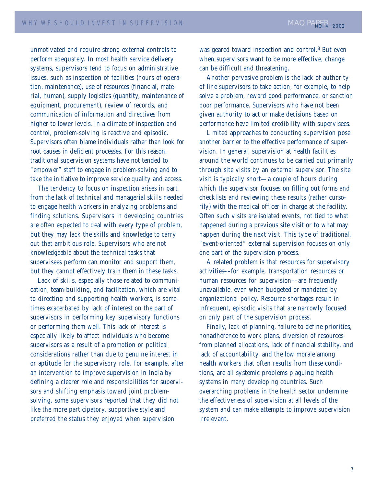unmotivated and require strong external controls to perform adequately. In most health service delivery systems, supervisors tend to focus on administrative issues, such as inspection of facilities (hours of operation, maintenance), use of resources (financial, material, human), supply logistics (quantity, maintenance of equipment, procurement), review of records, and communication of information and directives from higher to lower levels. In a climate of inspection and control, problem-solving is reactive and episodic. Supervisors often blame individuals rather than look for root causes in deficient processes. For this reason, traditional supervision systems have not tended to "empower" staff to engage in problem-solving and to take the initiative to improve service quality and access.

The tendency to focus on inspection arises in part from the lack of technical and managerial skills needed to engage health workers in analyzing problems and finding solutions. Supervisors in developing countries are often expected to deal with every type of problem, but they may lack the skills and knowledge to carry out that ambitious role. Supervisors who are not knowledgeable about the technical tasks that supervisees perform can monitor and support them, but they cannot effectively train them in these tasks.

Lack of skills, especially those related to communication, team-building, and facilitation, which are vital to directing and supporting health workers, is sometimes exacerbated by lack of interest on the part of supervisors in performing key supervisory functions or performing them well. This lack of interest is especially likely to affect individuals who become supervisors as a result of a promotion or political considerations rather than due to genuine interest in or aptitude for the supervisory role. For example, after an intervention to improve supervision in India by defining a clearer role and responsibilities for supervisors and shifting emphasis toward joint problemsolving, some supervisors reported that they did not like the more participatory, supportive style and preferred the status they enjoyed when supervision

was geared toward inspection and control.8 But even when supervisors want to be more effective, change can be difficult and threatening.

Another pervasive problem is the lack of authority of line supervisors to take action, for example, to help solve a problem, reward good performance, or sanction poor performance. Supervisors who have not been given authority to act or make decisions based on performance have limited credibility with supervisees.

Limited approaches to conducting supervision pose another barrier to the effective performance of supervision. In general, supervision at health facilities around the world continues to be carried out primarily through site visits by an external supervisor. The site visit is typically short—a couple of hours during which the supervisor focuses on filling out forms and checklists and reviewing these results (rather cursorily) with the medical officer in charge at the facility. Often such visits are isolated events, not tied to what happened during a previous site visit or to what may happen during the next visit. This type of traditional, "event-oriented" external supervision focuses on only one part of the supervision process.

A related problem is that resources for supervisory activities––for example, transportation resources or human resources for supervision––are frequently unavailable, even when budgeted or mandated by organizational policy. Resource shortages result in infrequent, episodic visits that are narrowly focused on only part of the supervision process.

Finally, lack of planning, failure to define priorities, nonadherence to work plans, diversion of resources from planned allocations, lack of financial stability, and lack of accountability, and the low morale among health workers that often results from these conditions, are all systemic problems plaguing health systems in many developing countries. Such overarching problems in the health sector undermine the effectiveness of supervision at all levels of the system and can make attempts to improve supervision irrelevant.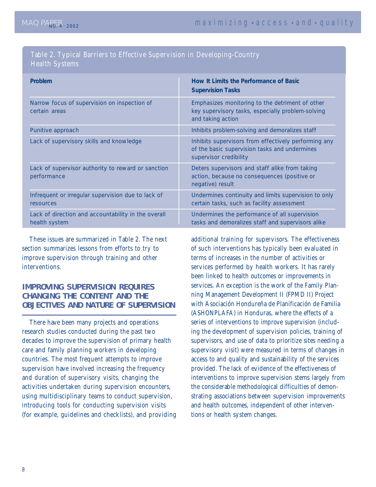### Table 2. Typical Barriers to Effective Supervision in Developing-Country Health Systems

| <b>Problem</b>                                                       | How It Limits the Performance of Basic<br><b>Supervision Tasks</b>                                                              |
|----------------------------------------------------------------------|---------------------------------------------------------------------------------------------------------------------------------|
| Narrow focus of supervision on inspection of<br>certain areas        | Emphasizes monitoring to the detriment of other<br>key supervisory tasks, especially problem-solving<br>and taking action       |
| Punitive approach                                                    | Inhibits problem-solving and demoralizes staff                                                                                  |
| Lack of supervisory skills and knowledge                             | Inhibits supervisors from effectively performing any<br>of the basic supervision tasks and undermines<br>supervisor credibility |
| Lack of supervisor authority to reward or sanction<br>performance    | Deters supervisors and staff alike from taking<br>action, because no consequences (positive or<br>negative) result              |
| Infrequent or irregular supervision due to lack of<br>resources      | Undermines continuity and limits supervision to only<br>certain tasks, such as facility assessment                              |
| Lack of direction and accountability in the overall<br>health system | Undermines the performance of all supervision<br>tasks and demoralizes staff and supervisors alike                              |

These issues are summarized in Table 2. The next section summarizes lessons from efforts to try to improve supervision through training and other interventions.

### **IMPROVING SUPERVISION REQUIRES CHANGING THE CONTENT** *AND* **THE OBJECTIVES AND NATURE OF SUPERVISION**

There have been many projects and operations research studies conducted during the past two decades to improve the supervision of primary health care and family planning workers in developing countries. The most frequent attempts to improve supervision have involved increasing the frequency and duration of supervisory visits, changing the activities undertaken during supervision encounters, using multidisciplinary teams to conduct supervision, introducing tools for conducting supervision visits (for example, guidelines and checklists), and providing

additional training for supervisors. The effectiveness of such interventions has typically been evaluated in terms of increases in the number of activities or services performed by health workers. It has rarely been linked to health outcomes or improvements in services. An exception is the work of the Family Planning Management Development II (FPMD II) Project with Asociación Hondureña de Planificación de Familia (ASHONPLAFA) in Honduras, where the effects of a series of interventions to improve supervision (including the development of supervision policies, training of supervisors, and use of data to prioritize sites needing a supervisory visit) were measured in terms of changes in access to and quality and sustainability of the services provided. The lack of evidence of the effectiveness of interventions to improve supervision stems largely from the considerable methodological difficulties of demonstrating associations between supervision improvements and health outcomes, independent of other interventions or health system changes.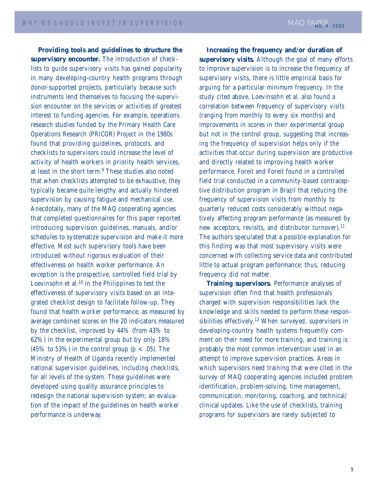**Providing tools and guidelines to structure the supervisory encounter.** The introduction of checklists to guide supervisory visits has gained popularity in many developing-country health programs through donor-supported projects, particularly because such instruments lend themselves to focusing the supervision encounter on the services or activities of greatest interest to funding agencies. For example, operations research studies funded by the Primary Health Care Operations Research (PRICOR) Project in the 1980s found that providing guidelines, protocols, and checklists to supervisors could increase the level of activity of health workers in priority health services, at least in the short term.<sup>9</sup> These studies also noted that when checklists attempted to be exhaustive, they typically became quite lengthy and actually hindered supervision by causing fatigue and mechanical use. Anecdotally, many of the MAQ cooperating agencies that completed questionnaires for this paper reported introducing supervision guidelines, manuals, and/or schedules to systematize supervision and make it more effective. Most such supervisory tools have been introduced without rigorous evaluation of their effectiveness on health worker performance. An exception is the prospective, controlled field trial by Loevinsohn et al.<sup>10</sup> in the Philippines to test the effectiveness of supervisory visits based on an integrated checklist design to facilitate follow-up. They found that health worker performance, as measured by average combined scores on the 20 indicators measured by the checklist, improved by 44% (from 43% to 62%) in the experimental group but by only 18% (45% to 53%) in the control group ( $p < .05$ ). The Ministry of Health of Uganda recently implemented national supervision guidelines, including checklists, for all levels of the system. These guidelines were developed using quality assurance principles to redesign the national supervision system; an evaluation of the impact of the guidelines on health worker performance is underway.

**Increasing the frequency and/or duration of supervisory visits.** Although the goal of many efforts to improve supervision is to increase the frequency of supervisory visits, there is little empirical basis for arguing for a particular minimum frequency. In the study cited above, Loevinsohn et al. also found a correlation between frequency of supervisory visits (ranging from monthly to every six months) and improvements in scores in their experimental group but not in the control group, suggesting that increasing the frequency of supervision helps only if the activities that occur during supervision are productive and directly related to improving health worker performance. Foreit and Foreit found in a controlled field trial conducted in a community-based contraceptive distribution program in Brazil that reducing the frequency of supervision visits from monthly to quarterly reduced costs considerably without negatively affecting program performance (as measured by new acceptors, revisits, and distributor turnover).<sup>11</sup> The authors speculated that a possible explanation for this finding was that most supervisory visits were concerned with collecting service data and contributed little to actual program performance; thus, reducing frequency did not matter.

**Training supervisors.** Performance analyses of supervision often find that health professionals charged with supervision responsibilities lack the knowledge and skills needed to perform these responsibilities effectively.12 When surveyed, supervisors in developing-country health systems frequently comment on their need for more training, and training is probably the most common intervention used in an attempt to improve supervision practices. Areas in which supervisors need training that were cited in the survey of MAQ cooperating agencies included problem identification, problem-solving, time management, communication, monitoring, coaching, and technical/ clinical updates. Like the use of checklists, training programs for supervisors are rarely subjected to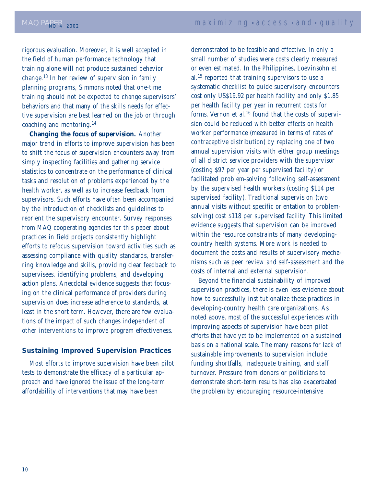rigorous evaluation. Moreover, it is well accepted in the field of human performance technology that training alone will not produce sustained behavior change.13 In her review of supervision in family planning programs, Simmons noted that one-time training should not be expected to change supervisors' behaviors and that many of the skills needs for effective supervision are best learned on the job or through coaching and mentoring.<sup>14</sup>

**Changing the focus of supervision.** Another major trend in efforts to improve supervision has been to shift the focus of supervision encounters away from simply inspecting facilities and gathering service statistics to concentrate on the performance of clinical tasks and resolution of problems experienced by the health worker, as well as to increase feedback from supervisors. Such efforts have often been accompanied by the introduction of checklists and guidelines to reorient the supervisory encounter. Survey responses from MAQ cooperating agencies for this paper about practices in field projects consistently highlight efforts to refocus supervision toward activities such as assessing compliance with quality standards, transferring knowledge and skills, providing clear feedback to supervisees, identifying problems, and developing action plans. Anecdotal evidence suggests that focusing on the clinical performance of providers during supervision does increase adherence to standards, at least in the short term. However, there are few evaluations of the impact of such changes independent of other interventions to improve program effectiveness.

### **Sustaining Improved Supervision Practices**

Most efforts to improve supervision have been pilot tests to demonstrate the efficacy of a particular approach and have ignored the issue of the long-term affordability of interventions that may have been

demonstrated to be feasible and effective. In only a small number of studies were costs clearly measured or even estimated. In the Philippines, Loevinsohn et al.15 reported that training supervisors to use a systematic checklist to guide supervisory encounters cost only US\$19.92 per health facility and only \$1.85 per health facility per year in recurrent costs for forms. Vernon et al.<sup>16</sup> found that the costs of supervision could be reduced with better effects on health worker performance (measured in terms of rates of contraceptive distribution) by replacing one of two annual supervision visits with either group meetings of all district service providers with the supervisor (costing \$97 per year per supervised facility) or facilitated problem-solving following self-assessment by the supervised health workers (costing \$114 per supervised facility). Traditional supervision (two annual visits without specific orientation to problemsolving) cost \$118 per supervised facility. This limited evidence suggests that supervision can be improved within the resource constraints of many developingcountry health systems. More work is needed to document the costs and results of supervisory mechanisms such as peer review and self-assessment and the costs of internal and external supervision.

Beyond the financial sustainability of improved supervision practices, there is even less evidence about how to successfully institutionalize these practices in developing-country health care organizations. As noted above, most of the successful experiences with improving aspects of supervision have been pilot efforts that have yet to be implemented on a sustained basis on a national scale. The many reasons for lack of sustainable improvements to supervision include funding shortfalls, inadequate training, and staff turnover. Pressure from donors or politicians to demonstrate short-term results has also exacerbated the problem by encouraging resource-intensive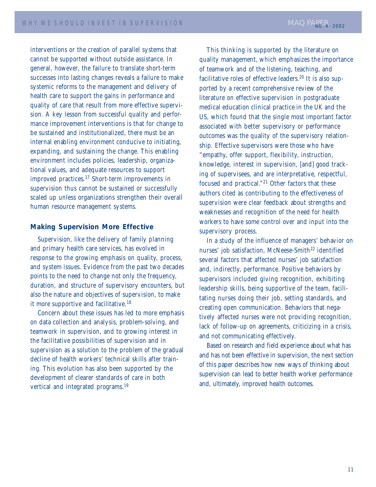interventions or the creation of parallel systems that cannot be supported without outside assistance. In general, however, the failure to translate short-term successes into lasting changes reveals a failure to make systemic reforms to the management and delivery of health care to support the gains in performance and quality of care that result from more effective supervision. A key lesson from successful quality and performance improvement interventions is that for change to be sustained and institutionalized, there must be an internal enabling environment conducive to initiating, expanding, and sustaining the change. This enabling environment includes policies, leadership, organizational values, and adequate resources to support improved practices.17 Short-term improvements in supervision thus cannot be sustained or successfully scaled up unless organizations strengthen their overall human resource management systems.

### **Making Supervision More Effective**

Supervision, like the delivery of family planning and primary health care services, has evolved in response to the growing emphasis on quality, process, and system issues. Evidence from the past two decades points to the need to change not only the frequency, duration, and structure of supervisory encounters, but also the nature and objectives of supervision, to make it more supportive and facilitative.<sup>18</sup>

Concern about these issues has led to more emphasis on data collection and analysis, problem-solving, and teamwork in supervision, and to growing interest in the facilitative possibilities of supervision and in supervision as a solution to the problem of the gradual decline of health workers' technical skills after training. This evolution has also been supported by the development of clearer standards of care in both vertical and integrated programs.<sup>19</sup>

This thinking is supported by the literature on quality management, which emphasizes the importance of teamwork and of the listening, teaching, and facilitative roles of effective leaders.<sup>20</sup> It is also supported by a recent comprehensive review of the literature on effective supervision in postgraduate medical education clinical practice in the UK and the US, which found that the single most important factor associated with better supervisory or performance outcomes was the quality of the supervisory relationship. Effective supervisors were those who have "empathy, offer support, flexibility, instruction, knowledge, interest in supervision, [and] good tracking of supervisees, and are interpretative, respectful, focused and practical."21 Other factors that these authors cited as contributing to the effectiveness of supervision were clear feedback about strengths and weaknesses and recognition of the need for health workers to have some control over and input into the supervisory process.

In a study of the influence of managers' behavior on nurses' job satisfaction, McNeese-Smith<sup>22</sup> identified several factors that affected nurses' job satisfaction and, indirectly, performance. Positive behaviors by supervisors included giving recognition, exhibiting leadership skills, being supportive of the team, facilitating nurses doing their job, setting standards, and creating open communication. Behaviors that negatively affected nurses were not providing recognition, lack of follow-up on agreements, criticizing in a crisis, and not communicating effectively.

Based on research and field experience about what has and has not been effective in supervision, the next section of this paper describes how new ways of thinking about supervision can lead to better health worker performance and, ultimately, improved health outcomes.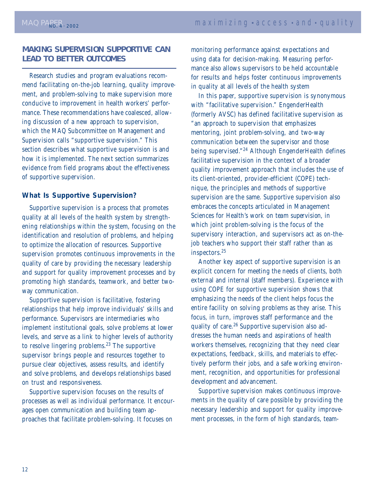### **MAKING SUPERVISION SUPPORTIVE CAN LEAD TO BETTER OUTCOMES**

Research studies and program evaluations recommend facilitating on-the-job learning, quality improvement, and problem-solving to make supervision more conducive to improvement in health workers' performance. These recommendations have coalesced, allowing discussion of a new approach to supervision, which the MAQ Subcommittee on Management and Supervision calls "supportive supervision." This section describes what supportive supervision is and how it is implemented. The next section summarizes evidence from field programs about the effectiveness of supportive supervision.

### **What Is Supportive Supervision?**

Supportive supervision is a process that promotes quality at all levels of the health system by strengthening relationships within the system, focusing on the identification and resolution of problems, and helping to optimize the allocation of resources. Supportive supervision promotes continuous improvements in the quality of care by providing the necessary leadership and support for quality improvement processes and by promoting high standards, teamwork, and better twoway communication.

Supportive supervision is facilitative, fostering relationships that help improve individuals' skills and performance. Supervisors are intermediaries who implement institutional goals, solve problems at lower levels, and serve as a link to higher levels of authority to resolve lingering problems.<sup>23</sup> The supportive supervisor brings people and resources together to pursue clear objectives, assess results, and identify and solve problems, and develops relationships based on trust and responsiveness.

Supportive supervision focuses on the results of processes as well as individual performance. It encourages open communication and building team approaches that facilitate problem-solving. It focuses on

monitoring performance against expectations and using data for decision-making. Measuring performance also allows supervisors to be held accountable for results and helps foster continuous improvements in quality at all levels of the health system

In this paper, supportive supervision is synonymous with "facilitative supervision." EngenderHealth (formerly AVSC) has defined facilitative supervision as "an approach to supervision that emphasizes mentoring, joint problem-solving, and two-way communication between the supervisor and those being supervised."<sup>24</sup> Although EngenderHealth defines facilitative supervision in the context of a broader quality improvement approach that includes the use of its client-oriented, provider-efficient (COPE) technique, the principles and methods of supportive supervision are the same. Supportive supervision also embraces the concepts articulated in Management Sciences for Health's work on *team supervision*, in which joint problem-solving is the focus of the supervisory interaction, and supervisors act as on-thejob teachers who support their staff rather than as inspectors.25

Another key aspect of supportive supervision is an explicit concern for meeting the needs of clients, both external and internal (staff members). Experience with using COPE for supportive supervision shows that emphasizing the needs of the client helps focus the entire facility on solving problems as they arise. This focus, in turn, improves staff performance and the quality of care.<sup>26</sup> Supportive supervision also addresses the human needs and aspirations of health workers themselves, recognizing that they need clear expectations, feedback, skills, and materials to effectively perform their jobs, and a safe working environment, recognition, and opportunities for professional development and advancement.

Supportive supervision makes continuous improvements in the quality of care possible by providing the necessary leadership and support for quality improvement processes, in the form of high standards, team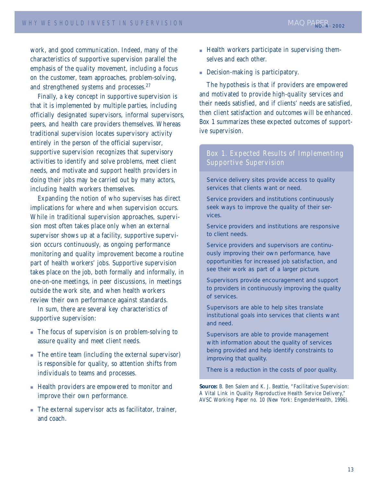work, and good communication. Indeed, many of the characteristics of supportive supervision parallel the emphasis of the quality movement, including a focus on the customer, team approaches, problem-solving, and strengthened systems and processes.<sup>27</sup>

Finally, a key concept in supportive supervision is that it is implemented by multiple parties, including officially designated supervisors, informal supervisors, peers, and health care providers themselves. Whereas traditional supervision locates supervisory activity entirely in the person of the official supervisor, supportive supervision recognizes that supervisory activities to identify and solve problems, meet client needs, and motivate and support health providers in doing their jobs may be carried out by many actors, including health workers themselves.

Expanding the notion of who supervises has direct implications for where and when supervision occurs. While in traditional supervision approaches, supervision most often takes place only when an external supervisor shows up at a facility, supportive supervision occurs continuously, as ongoing performance monitoring and quality improvement become a routine part of health workers' jobs. Supportive supervision takes place on the job, both formally and informally, in one-on-one meetings, in peer discussions, in meetings outside the work site, and when health workers review their own performance against standards.

In sum, there are several key characteristics of supportive supervision:

- The focus of supervision is on problem-solving to assure quality and meet client needs.
- The entire team (including the external supervisor) is responsible for quality, so attention shifts from individuals to teams and processes.
- Health providers are empowered to monitor and improve their own performance.
- The external supervisor acts as facilitator, trainer, and coach.
- Health workers participate in supervising themselves and each other.
- Decision-making is participatory.

The hypothesis is that if providers are empowered and motivated to provide high-quality services and their needs satisfied, and if clients' needs are satisfied, then client satisfaction and outcomes will be enhanced. Box 1 summarizes these expected outcomes of supportive supervision.

### Box 1. Expected Results of Implementing Supportive Supervision

Service delivery sites provide access to quality services that clients want or need.

Service providers and institutions continuously seek ways to improve the quality of their services.

Service providers and institutions are responsive to client needs.

Service providers and supervisors are continuously improving their own performance, have opportunities for increased job satisfaction, and see their work as part of a larger picture.

Supervisors provide encouragement and support to providers in continuously improving the quality of services.

Supervisors are able to help sites translate institutional goals into services that clients want and need.

Supervisors are able to provide management with information about the quality of services being provided and help identify constraints to improving that quality.

There is a reduction in the costs of poor quality.

**Source:** B. Ben Salem and K. J. Beattie, "Facilitative Supervision: A Vital Link in Quality Reproductive Health Service Delivery," AVSC Working Paper no. 10 (New York: EngenderHealth, 1996).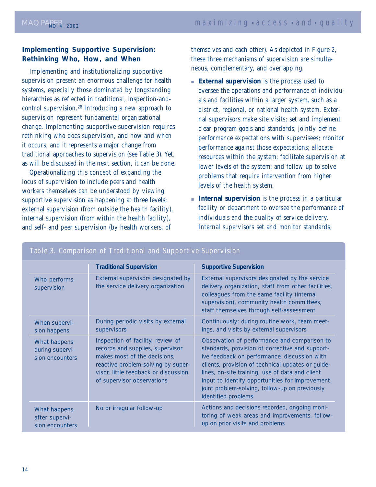### **Implementing Supportive Supervision: Rethinking Who, How, and When**

Implementing and institutionalizing supportive supervision present an enormous challenge for health systems, especially those dominated by longstanding hierarchies as reflected in traditional, inspection-andcontrol supervision.28 Introducing a new approach to supervision represent fundamental organizational change. Implementing supportive supervision requires rethinking who does supervision, and how and when it occurs, and it represents a major change from traditional approaches to supervision (see Table 3). Yet, as will be discussed in the next section, it can be done.

Operationalizing this concept of expanding the locus of supervision to include peers and health workers themselves can be understood by viewing supportive supervision as happening at three levels: external supervision (from outside the health facility), internal supervision (from within the health facility), and self- and peer supervision (by health workers, of

themselves and each other). As depicted in Figure 2, these three mechanisms of supervision are simultaneous, complementary, and overlapping.

- **External supervision** is the process used to oversee the operations and performance of individuals and facilities within a larger system, such as a district, regional, or national health system. External supervisors make site visits; set and implement clear program goals and standards; jointly define performance expectations with supervisees; monitor performance against those expectations; allocate resources within the system; facilitate supervision at lower levels of the system; and follow up to solve problems that require intervention from higher levels of the health system.
- **Internal supervision** is the process in a particular facility or department to oversee the performance of individuals and the quality of service delivery. Internal supervisors set and monitor standards;

|                                                    | <b>Traditional Supervision</b>                                                                                                                                                                                    | <b>Supportive Supervision</b>                                                                                                                                                                                                                                                                                                                                                        |
|----------------------------------------------------|-------------------------------------------------------------------------------------------------------------------------------------------------------------------------------------------------------------------|--------------------------------------------------------------------------------------------------------------------------------------------------------------------------------------------------------------------------------------------------------------------------------------------------------------------------------------------------------------------------------------|
| Who performs<br>supervision                        | External supervisors designated by<br>the service delivery organization                                                                                                                                           | External supervisors designated by the service<br>delivery organization, staff from other facilities,<br>colleagues from the same facility (internal<br>supervision), community health committees,<br>staff themselves through self-assessment                                                                                                                                       |
| When supervi-<br>sion happens                      | During periodic visits by external<br>supervisors                                                                                                                                                                 | Continuously: during routine work, team meet-<br>ings, and visits by external supervisors                                                                                                                                                                                                                                                                                            |
| What happens<br>during supervi-<br>sion encounters | Inspection of facility, review of<br>records and supplies, supervisor<br>makes most of the decisions,<br>reactive problem-solving by super-<br>visor, little feedback or discussion<br>of supervisor observations | Observation of performance and comparison to<br>standards, provision of corrective and support-<br>ive feedback on performance, discussion with<br>clients, provision of technical updates or guide-<br>lines, on-site training, use of data and client<br>input to identify opportunities for improvement,<br>joint problem-solving, follow-up on previously<br>identified problems |
| What happens<br>after supervi-<br>sion encounters  | No or irregular follow-up                                                                                                                                                                                         | Actions and decisions recorded, ongoing moni-<br>toring of weak areas and improvements, follow-<br>up on prior visits and problems                                                                                                                                                                                                                                                   |

### Table 3. Comparison of Traditional and Supportive Supervision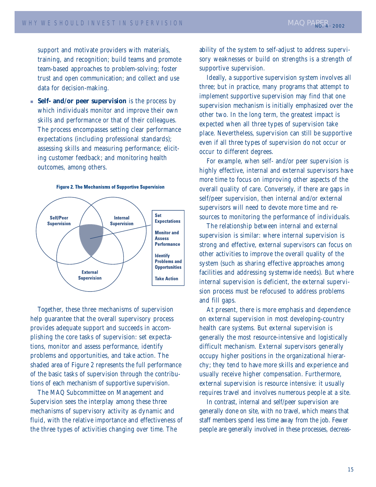support and motivate providers with materials, training, and recognition; build teams and promote team-based approaches to problem-solving; foster trust and open communication; and collect and use data for decision-making.

■ **Self- and/or peer supervision** is the process by which individuals monitor and improve their own skills and performance or that of their colleagues. The process encompasses setting clear performance expectations (including professional standards); assessing skills and measuring performance; eliciting customer feedback; and monitoring health outcomes, among others.



**Figure 2. The Mechanisms of Supportive Supervision** 

Together, these three mechanisms of supervision help guarantee that the overall supervisory process provides adequate support and succeeds in accomplishing the core tasks of supervision: set expectations, monitor and assess performance, identify problems and opportunities, and take action. The shaded area of Figure 2 represents the full performance of the basic tasks of supervision through the contributions of each mechanism of supportive supervision.

The MAQ Subcommittee on Management and Supervision sees the interplay among these three mechanisms of supervisory activity as dynamic and fluid, with the relative importance and effectiveness of the three types of activities changing over time. The

ability of the system to self-adjust to address supervisory weaknesses or build on strengths is a strength of supportive supervision.

Ideally, a supportive supervision system involves all three; but in practice, many programs that attempt to implement supportive supervision may find that one supervision mechanism is initially emphasized over the other two. In the long term, the greatest impact is expected when all three types of supervision take place. Nevertheless, supervision can still be supportive even if all three types of supervision do not occur or occur to different degrees.

For example, when self- and/or peer supervision is highly effective, internal and external supervisors have more time to focus on improving other aspects of the overall quality of care. Conversely, if there are gaps in self/peer supervision, then internal and/or external supervisors will need to devote more time and resources to monitoring the performance of individuals.

The relationship between internal and external supervision is similar: where internal supervision is strong and effective, external supervisors can focus on other activities to improve the overall quality of the system (such as sharing effective approaches among facilities and addressing systemwide needs). But where internal supervision is deficient, the external supervision process must be refocused to address problems and fill gaps.

At present, there is more emphasis and dependence on external supervision in most developing-country health care systems. But external supervision is generally the most resource-intensive and logistically difficult mechanism. External supervisors generally occupy higher positions in the organizational hierarchy; they tend to have more skills and experience and usually receive higher compensation. Furthermore, external supervision is resource intensive: it usually requires travel and involves numerous people at a site.

In contrast, internal and self/peer supervision are generally done on site, with no travel, which means that staff members spend less time away from the job. Fewer people are generally involved in these processes, decreas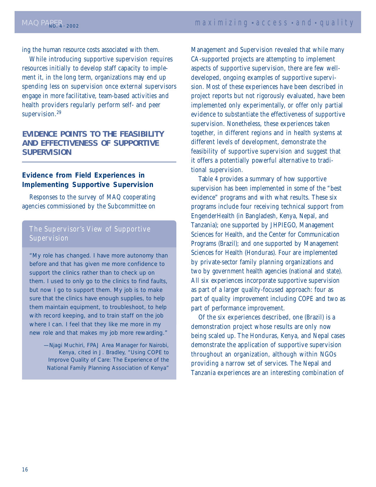ing the human resource costs associated with them.

While introducing supportive supervision requires resources initially to develop staff capacity to implement it, in the long term, organizations may end up spending less on supervision once external supervisors engage in more facilitative, team-based activities and health providers regularly perform self- and peer supervision.<sup>29</sup>

### **EVIDENCE POINTS TO THE FEASIBILITY AND EFFECTIVENESS OF SUPPORTIVE SUPERVISION**

### **Evidence from Field Experiences in Implementing Supportive Supervision**

Responses to the survey of MAQ cooperating agencies commissioned by the Subcommittee on

### The Supervisor's View of Supportive **Supervision**

*"My role has changed. I have more autonomy than before and that has given me more confidence to support the clinics rather than to check up on them. I used to only go to the clinics to find faults, but now I go to support them. My job is to make sure that the clinics have enough supplies, to help them maintain equipment, to troubleshoot, to help with record keeping, and to train staff on the job where I can. I feel that they like me more in my new role and that makes my job more rewarding."*

> —Njagi Muchiri, FPAJ Area Manager for Nairobi, Kenya, cited in J. Bradley, "Using COPE to Improve Quality of Care: The Experience of the National Family Planning Association of Kenya"

Management and Supervision revealed that while many CA-supported projects are attempting to implement aspects of supportive supervision, there are few welldeveloped, ongoing examples of supportive supervision. Most of these experiences have been described in project reports but not rigorously evaluated, have been implemented only experimentally, or offer only partial evidence to substantiate the effectiveness of supportive supervision. Nonetheless, these experiences taken together, in different regions and in health systems at different levels of development, demonstrate the feasibility of supportive supervision and suggest that it offers a potentially powerful alternative to traditional supervision.

Table 4 provides a summary of how supportive supervision has been implemented in some of the "best evidence" programs and with what results. These six programs include four receiving technical support from EngenderHealth (in Bangladesh, Kenya, Nepal, and Tanzania); one supported by JHPIEGO, Management Sciences for Health, and the Center for Communication Programs (Brazil); and one supported by Management Sciences for Health (Honduras). Four are implemented by private-sector family planning organizations and two by government health agencies (national and state). All six experiences incorporate supportive supervision as part of a larger quality-focused approach: four as part of quality improvement including COPE and two as part of performance improvement.

Of the six experiences described, one (Brazil) is a demonstration project whose results are only now being scaled up. The Honduras, Kenya, and Nepal cases demonstrate the application of supportive supervision throughout an organization, although within NGOs providing a narrow set of services. The Nepal and Tanzania experiences are an interesting combination of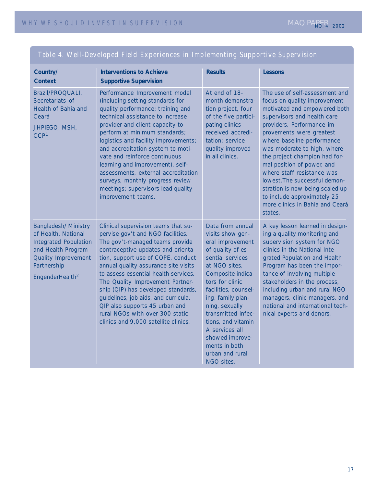| Country/<br><b>Context</b>                                                                                                                                                           | <b>Interventions to Achieve</b><br><b>Supportive Supervision</b>                                                                                                                                                                                                                                                                                                                                                                                                                                        | <b>Results</b>                                                                                                                                                                                                                                                                                                                                               | Lessons                                                                                                                                                                                                                                                                                                                                                                                                                                                                                            |
|--------------------------------------------------------------------------------------------------------------------------------------------------------------------------------------|---------------------------------------------------------------------------------------------------------------------------------------------------------------------------------------------------------------------------------------------------------------------------------------------------------------------------------------------------------------------------------------------------------------------------------------------------------------------------------------------------------|--------------------------------------------------------------------------------------------------------------------------------------------------------------------------------------------------------------------------------------------------------------------------------------------------------------------------------------------------------------|----------------------------------------------------------------------------------------------------------------------------------------------------------------------------------------------------------------------------------------------------------------------------------------------------------------------------------------------------------------------------------------------------------------------------------------------------------------------------------------------------|
| Brazil/PROQUALI,<br>Secretariats of<br>Health of Bahia and<br>Ceará<br>JHPIEGO, MSH,<br>CCP <sup>1</sup>                                                                             | Performance Improvement model<br>(including setting standards for<br>quality performance; training and<br>technical assistance to increase<br>provider and client capacity to<br>perform at minimum standards;<br>logistics and facility improvements;<br>and accreditation system to moti-<br>vate and reinforce continuous<br>learning and improvement), self-<br>assessments, external accreditation<br>surveys, monthly progress review<br>meetings; supervisors lead quality<br>improvement teams. | At end of 18-<br>month demonstra-<br>tion project, four<br>of the five partici-<br>pating clinics<br>received accredi-<br>tation; service<br>quality improved<br>in all clinics.                                                                                                                                                                             | The use of self-assessment and<br>focus on quality improvement<br>motivated and empowered both<br>supervisors and health care<br>providers. Performance im-<br>provements were greatest<br>where baseline performance<br>was moderate to high, where<br>the project champion had for-<br>mal position of power, and<br>where staff resistance was<br>lowest. The successful demon-<br>stration is now being scaled up<br>to include approximately 25<br>more clinics in Bahia and Ceará<br>states. |
| <b>Bangladesh/ Ministry</b><br>of Health, National<br><b>Integrated Population</b><br>and Health Program<br><b>Quality Improvement</b><br>Partnership<br>EngenderHealth <sup>2</sup> | Clinical supervision teams that su-<br>pervise gov't and NGO facilities.<br>The gov't-managed teams provide<br>contraceptive updates and orienta-<br>tion, support use of COPE, conduct<br>annual quality assurance site visits<br>to assess essential health services.<br>The Quality Improvement Partner-<br>ship (QIP) has developed standards,<br>guidelines, job aids, and curricula.<br>QIP also supports 45 urban and<br>rural NGOs with over 300 static<br>clinics and 9,000 satellite clinics. | Data from annual<br>visits show gen-<br>eral improvement<br>of quality of es-<br>sential services<br>at NGO sites.<br>Composite indica-<br>tors for clinic<br>facilities, counsel-<br>ing, family plan-<br>ning, sexually<br>transmitted infec-<br>tions, and vitamin<br>A services all<br>showed improve-<br>ments in both<br>urban and rural<br>NGO sites. | A key lesson learned in design-<br>ing a quality monitoring and<br>supervision system for NGO<br>clinics in the National Inte-<br>grated Population and Health<br>Program has been the impor-<br>tance of involving multiple<br>stakeholders in the process,<br>including urban and rural NGO<br>managers, clinic managers, and<br>national and international tech-<br>nical experts and donors.                                                                                                   |

### Table 4. Well-Developed Field Experiences in Implementing Supportive Supervision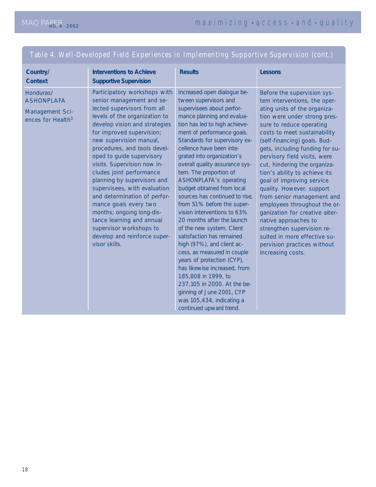### Table 4. Well-Developed Field Experiences in Implementing Supportive Supervision (cont.)

| Country/<br><b>Context</b>                                                         | <b>Interventions to Achieve</b><br><b>Supportive Supervision</b>                                                                                                                                                                                                                                                                                                                                                                                                                                                                                                                                         | <b>Results</b>                                                                                                                                                                                                                                                                                                                                                                                                                                                                                                                                                                                                                                                                                                                                                                                                                                                    | <b>Lessons</b>                                                                                                                                                                                                                                                                                                                                                                                                                                                                                                                                                                                                                                                  |
|------------------------------------------------------------------------------------|----------------------------------------------------------------------------------------------------------------------------------------------------------------------------------------------------------------------------------------------------------------------------------------------------------------------------------------------------------------------------------------------------------------------------------------------------------------------------------------------------------------------------------------------------------------------------------------------------------|-------------------------------------------------------------------------------------------------------------------------------------------------------------------------------------------------------------------------------------------------------------------------------------------------------------------------------------------------------------------------------------------------------------------------------------------------------------------------------------------------------------------------------------------------------------------------------------------------------------------------------------------------------------------------------------------------------------------------------------------------------------------------------------------------------------------------------------------------------------------|-----------------------------------------------------------------------------------------------------------------------------------------------------------------------------------------------------------------------------------------------------------------------------------------------------------------------------------------------------------------------------------------------------------------------------------------------------------------------------------------------------------------------------------------------------------------------------------------------------------------------------------------------------------------|
| Honduras/<br><b>ASHONPLAFA</b><br>Management Sci-<br>ences for Health <sup>3</sup> | Participatory workshops with<br>senior management and se-<br>lected supervisors from all<br>levels of the organization to<br>develop vision and strategies<br>for improved supervision;<br>new supervision manual,<br>procedures, and tools devel-<br>oped to guide supervisory<br>visits. Supervision now in-<br>cludes joint performance<br>planning by supervisors and<br>supervisees, with evaluation<br>and determination of perfor-<br>mance goals every two<br>months; ongoing long-dis-<br>tance learning and annual<br>supervisor workshops to<br>develop and reinforce super-<br>visor skills. | Increased open dialogue be-<br>tween supervisors and<br>supervisees about perfor-<br>mance planning and evalua-<br>tion has led to high achieve-<br>ment of performance goals.<br>Standards for supervisory ex-<br>cellence have been inte-<br>grated into organization's<br>overall quality assurance sys-<br>tem. The proportion of<br><b>ASHONPLAFA's operating</b><br>budget obtained from local<br>sources has continued to rise,<br>from 51% before the super-<br>vision interventions to 63%<br>20 months after the launch<br>of the new system. Client<br>satisfaction has remained<br>high (97%), and client ac-<br>cess, as measured in couple<br>years of protection (CYP),<br>has likewise increased, from<br>185,808 in 1999, to<br>237,105 in 2000. At the be-<br>ginning of June 2001, CYP<br>was 105,434, indicating a<br>continued upward trend. | Before the supervision sys-<br>tem interventions, the oper-<br>ating units of the organiza-<br>tion were under strong pres-<br>sure to reduce operating<br>costs to meet sustainability<br>(self-financing) goals. Bud-<br>gets, including funding for su-<br>pervisory field visits, were<br>cut, hindering the organiza-<br>tion's ability to achieve its<br>goal of improving service<br>quality. However, support<br>from senior management and<br>employees throughout the or-<br>ganization for creative alter-<br>native approaches to<br>strengthen supervision re-<br>sulted in more effective su-<br>pervision practices without<br>increasing costs. |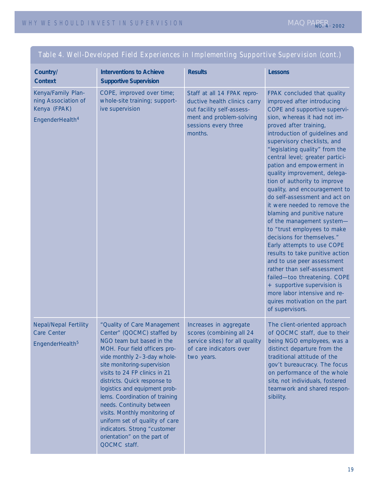| Country/<br><b>Context</b>                                                               | <b>Interventions to Achieve</b><br><b>Supportive Supervision</b>                                                                                                                                                                                                                                                                                                                                                                                                                                         | <b>Results</b>                                                                                                                                          | <b>Lessons</b>                                                                                                                                                                                                                                                                                                                                                                                                                                                                                                                                                                                                                                                                                                                                                                                                                                                                                     |
|------------------------------------------------------------------------------------------|----------------------------------------------------------------------------------------------------------------------------------------------------------------------------------------------------------------------------------------------------------------------------------------------------------------------------------------------------------------------------------------------------------------------------------------------------------------------------------------------------------|---------------------------------------------------------------------------------------------------------------------------------------------------------|----------------------------------------------------------------------------------------------------------------------------------------------------------------------------------------------------------------------------------------------------------------------------------------------------------------------------------------------------------------------------------------------------------------------------------------------------------------------------------------------------------------------------------------------------------------------------------------------------------------------------------------------------------------------------------------------------------------------------------------------------------------------------------------------------------------------------------------------------------------------------------------------------|
| Kenya/Family Plan-<br>ning Association of<br>Kenya (FPAK)<br>EngenderHealth <sup>4</sup> | COPE, improved over time;<br>whole-site training; support-<br>ive supervision                                                                                                                                                                                                                                                                                                                                                                                                                            | Staff at all 14 FPAK repro-<br>ductive health clinics carry<br>out facility self-assess-<br>ment and problem-solving<br>sessions every three<br>months. | FPAK concluded that quality<br>improved after introducing<br>COPE and supportive supervi-<br>sion, whereas it had not im-<br>proved after training,<br>introduction of guidelines and<br>supervisory checklists, and<br>"legislating quality" from the<br>central level; greater partici-<br>pation and empowerment in<br>quality improvement, delega-<br>tion of authority to improve<br>quality, and encouragement to<br>do self-assessment and act on<br>it were needed to remove the<br>blaming and punitive nature<br>of the management system-<br>to "trust employees to make<br>decisions for themselves."<br>Early attempts to use COPE<br>results to take punitive action<br>and to use peer assessment<br>rather than self-assessment<br>failed-too threatening. COPE<br>+ supportive supervision is<br>more labor intensive and re-<br>quires motivation on the part<br>of supervisors. |
| <b>Nepal/Nepal Fertility</b><br>Care Center<br>EngenderHealth <sup>5</sup>               | "Quality of Care Management<br>Center" (QOCMC) staffed by<br>NGO team but based in the<br>MOH. Four field officers pro-<br>vide monthly 2-3-day whole-<br>site monitoring-supervision<br>visits to 24 FP clinics in 21<br>districts. Quick response to<br>logistics and equipment prob-<br>lems. Coordination of training<br>needs. Continuity between<br>visits. Monthly monitoring of<br>uniform set of quality of care<br>indicators. Strong "customer<br>orientation" on the part of<br>QOCMC staff. | Increases in aggregate<br>scores (combining all 24<br>service sites) for all quality<br>of care indicators over<br>two years.                           | The client-oriented approach<br>of QOCMC staff, due to their<br>being NGO employees, was a<br>distinct departure from the<br>traditional attitude of the<br>gov't bureaucracy. The focus<br>on performance of the whole<br>site, not individuals, fostered<br>teamwork and shared respon-<br>sibility.                                                                                                                                                                                                                                                                                                                                                                                                                                                                                                                                                                                             |

### Table 4. Well-Developed Field Experiences in Implementing Supportive Supervision (cont.)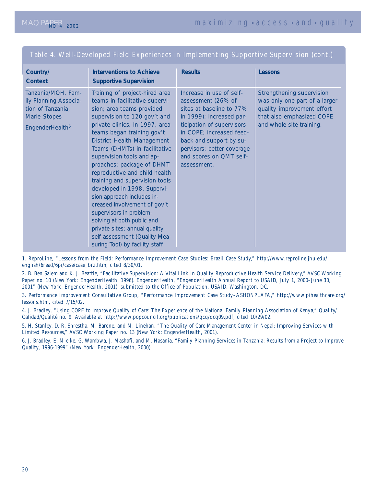| Country/<br><b>Context</b>                                                                                      | <b>Interventions to Achieve</b><br><b>Supportive Supervision</b>                                                                                                                                                                                                                                                                                                                                                                                                                                                                                                                                                                                            | <b>Results</b>                                                                                                                                                                                                                                                     | <b>Lessons</b>                                                                                                                                    |
|-----------------------------------------------------------------------------------------------------------------|-------------------------------------------------------------------------------------------------------------------------------------------------------------------------------------------------------------------------------------------------------------------------------------------------------------------------------------------------------------------------------------------------------------------------------------------------------------------------------------------------------------------------------------------------------------------------------------------------------------------------------------------------------------|--------------------------------------------------------------------------------------------------------------------------------------------------------------------------------------------------------------------------------------------------------------------|---------------------------------------------------------------------------------------------------------------------------------------------------|
| Tanzania/MOH, Fam-<br>ily Planning Associa-<br>tion of Tanzania,<br>Marie Stopes<br>EngenderHealth <sup>6</sup> | Training of project-hired area<br>teams in facilitative supervi-<br>sion; area teams provided<br>supervision to 120 gov't and<br>private clinics. In 1997, area<br>teams began training gov't<br><b>District Health Management</b><br>Teams (DHMTs) in facilitative<br>supervision tools and ap-<br>proaches; package of DHMT<br>reproductive and child health<br>training and supervision tools<br>developed in 1998. Supervi-<br>sion approach includes in-<br>creased involvement of gov't<br>supervisors in problem-<br>solving at both public and<br>private sites; annual quality<br>self-assessment (Quality Mea-<br>suring Tool) by facility staff. | Increase in use of self-<br>assessment (26% of<br>sites at baseline to 77%<br>in 1999); increased par-<br>ticipation of supervisors<br>in COPE; increased feed-<br>back and support by su-<br>pervisors; better coverage<br>and scores on QMT self-<br>assessment. | Strengthening supervision<br>was only one part of a larger<br>quality improvement effort<br>that also emphasized COPE<br>and whole-site training. |

### Table 4. Well-Developed Field Experiences in Implementing Supportive Supervision (cont.)

1. ReproLine, "Lessons from the Field: Performance Improvement Case Studies: Brazil Case Study," http://www.reproline.jhu.edu/ english/6read/6pi/case/case\_brz.htm, cited 8/30/01.

2. B. Ben Salem and K. J. Beattie, "Facilitative Supervision: A Vital Link in Quality Reproductive Health Service Delivery," AVSC Working Paper no. 10 (New York: EngenderHealth, 1996). EngenderHealth, "EngenderHealth Annual Report to USAID, July 1, 2000–June 30, 2001" (New York: EngenderHealth, 2001), submitted to the Office of Population, USAID, Washington, DC.

3. Performance Improvement Consultative Group, "Performance Improvement Case Study–ASHONPLAFA," http://www.pihealthcare.org/ lessons.htm, cited 7/15/02.

4. J. Bradley, "Using COPE to Improve Quality of Care: The Experience of the National Family Planning Association of Kenya," *Quality/ Calidad/Qualité* no. 9. Available at http://www.popcouncil.org/publications/qcq/qcq09.pdf, cited 10/29/02.

5. H. Stanley, D. R. Shrestha, M. Barone, and M. Linehan, "The Quality of Care Management Center in Nepal: Improving Services with Limited Resources," AVSC Working Paper no. 13 (New York: EngenderHealth, 2001).

6. J. Bradley, E. Mielke, G. Wambwa, J. Mashafi, and M. Nasania, "Family Planning Services in Tanzania: Results from a Project to Improve Quality, 1996-1999" (New York: EngenderHealth, 2000).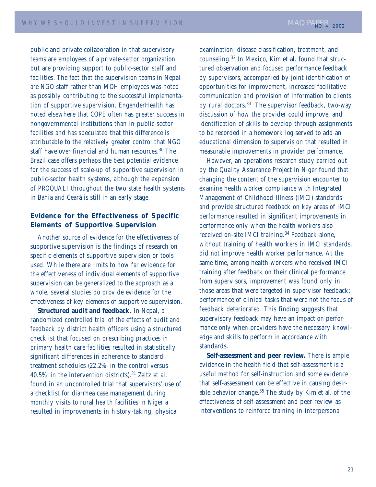public and private collaboration in that supervisory teams are employees of a private-sector organization but are providing support to public-sector staff and facilities. The fact that the supervision teams in Nepal are NGO staff rather than MOH employees was noted as possibly contributing to the successful implementation of supportive supervision. EngenderHealth has noted elsewhere that COPE often has greater success in nongovernmental institutions than in public-sector facilities and has speculated that this difference is attributable to the relatively greater control that NGO staff have over financial and human resources.<sup>30</sup> The Brazil case offers perhaps the best potential evidence for the success of scale-up of supportive supervision in public-sector health systems, although the expansion of PROQUALI throughout the two state health systems in Bahia and Ceará is still in an early stage.

### **Evidence for the Effectiveness of Specific Elements of Supportive Supervision**

Another source of evidence for the effectiveness of supportive supervision is the findings of research on specific elements of supportive supervision or tools used. While there are limits to how far evidence for the effectiveness of individual elements of supportive supervision can be generalized to the approach as a whole, several studies do provide evidence for the effectiveness of key elements of supportive supervision.

**Structured audit and feedback.** In Nepal, a randomized controlled trial of the effects of audit and feedback by district health officers using a structured checklist that focused on prescribing practices in primary health care facilities resulted in statistically significant differences in adherence to standard treatment schedules (22.2% in the control versus  $40.5\%$  in the intervention districts).<sup>31</sup> Zeitz et al. found in an uncontrolled trial that supervisors' use of a checklist for diarrhea case management during monthly visits to rural health facilities in Nigeria resulted in improvements in history-taking, physical

examination, disease classification, treatment, and counseling.32 In Mexico, Kim et al. found that structured observation and focused performance feedback by supervisors, accompanied by joint identification of opportunities for improvement, increased facilitative communication and provision of information to clients by rural doctors.<sup>33</sup> The supervisor feedback, two-way discussion of how the provider could improve, and identification of skills to develop through assignments to be recorded in a homework log served to add an educational dimension to supervision that resulted in measurable improvements in provider performance.

However, an operations research study carried out by the Quality Assurance Project in Niger found that changing the content of the supervision encounter to examine health worker compliance with Integrated Management of Childhood Illness (IMCI) standards and provide structured feedback on key areas of IMCI performance resulted in significant improvements in performance only when the health workers also received on-site IMCI training.<sup>34</sup> Feedback alone, without training of health workers in IMCI standards, did not improve health worker performance. At the same time, among health workers who received IMCI training after feedback on their clinical performance from supervisors, improvement was found only in those areas that were targeted in supervisor feedback; performance of clinical tasks that were not the focus of feedback deteriorated. This finding suggests that supervisory feedback may have an impact on performance only when providers have the necessary knowledge and skills to perform in accordance with standards.

**Self-assessment and peer review.** There is ample evidence in the health field that self-assessment is a useful method for self-instruction and some evidence that self-assessment can be effective in causing desirable behavior change.<sup>35</sup> The study by Kim et al. of the effectiveness of self-assessment and peer review as interventions to reinforce training in interpersonal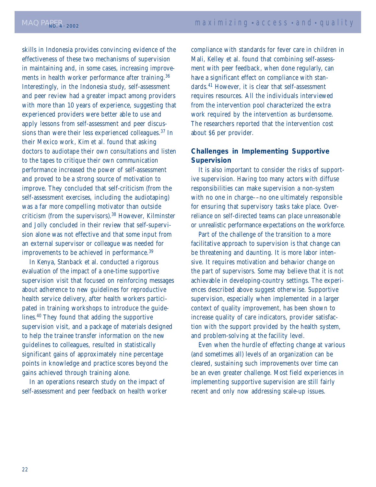skills in Indonesia provides convincing evidence of the effectiveness of these two mechanisms of supervision in maintaining and, in some cases, increasing improvements in health worker performance after training.<sup>36</sup> Interestingly, in the Indonesia study, self-assessment and peer review had a greater impact among providers with more than 10 years of experience, suggesting that experienced providers were better able to use and apply lessons from self-assessment and peer discussions than were their less experienced colleagues.37 In their Mexico work, Kim et al. found that asking doctors to audiotape their own consultations and listen to the tapes to critique their own communication performance increased the power of self-assessment and proved to be a strong source of motivation to improve. They concluded that self-criticism (from the self-assessment exercises, including the audiotaping) was a far more compelling motivator than outside criticism (from the supervisors).38 However, Kilminster and Jolly concluded in their review that self-supervision alone was not effective and that some input from an external supervisor or colleague was needed for improvements to be achieved in performance.<sup>39</sup>

In Kenya, Stanback et al. conducted a rigorous evaluation of the impact of a one-time supportive supervision visit that focused on reinforcing messages about adherence to new guidelines for reproductive health service delivery, after health workers participated in training workshops to introduce the guidelines.40 They found that adding the supportive supervision visit, and a package of materials designed to help the trainee transfer information on the new guidelines to colleagues, resulted in statistically significant gains of approximately nine percentage points in knowledge and practice scores beyond the gains achieved through training alone.

In an operations research study on the impact of self-assessment and peer feedback on health worker compliance with standards for fever care in children in Mali, Kelley et al. found that combining self-assessment with peer feedback, when done regularly, can have a significant effect on compliance with standards.41 However, it is clear that self-assessment requires resources. All the individuals interviewed from the intervention pool characterized the extra work required by the intervention as burdensome. The researchers reported that the intervention cost about \$6 per provider.

### **Challenges in Implementing Supportive Supervision**

It is also important to consider the risks of supportive supervision. Having too many actors with diffuse responsibilities can make supervision a non-system with no one in charge––no one ultimately responsible for ensuring that supervisory tasks take place. Overreliance on self-directed teams can place unreasonable or unrealistic performance expectations on the workforce.

Part of the challenge of the transition to a more facilitative approach to supervision is that change can be threatening and daunting. It is more labor intensive. It requires motivation and behavior change on the part of supervisors. Some may believe that it is not achievable in developing-country settings. The experiences described above suggest otherwise. Supportive supervision, especially when implemented in a larger context of quality improvement, has been shown to increase quality of care indicators, provider satisfaction with the support provided by the health system, and problem-solving at the facility level.

Even when the hurdle of effecting change at various (and sometimes all) levels of an organization can be cleared, sustaining such improvements over time can be an even greater challenge. Most field experiences in implementing supportive supervision are still fairly recent and only now addressing scale-up issues.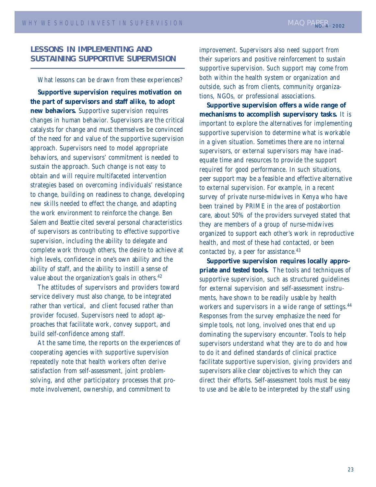### **LESSONS IN IMPLEMENTING AND SUSTAINING SUPPORTIVE SUPERVISION**

What lessons can be drawn from these experiences?

**Supportive supervision requires motivation on the part of supervisors and staff alike, to adopt new behaviors.** Supportive supervision requires changes in human behavior. Supervisors are the critical catalysts for change and must themselves be convinced of the need for and value of the supportive supervision approach. Supervisors need to model appropriate behaviors, and supervisors' commitment is needed to sustain the approach. Such change is not easy to obtain and will require multifaceted intervention strategies based on overcoming individuals' resistance to change, building on readiness to change, developing new skills needed to effect the change, and adapting the work environment to reinforce the change. Ben Salem and Beattie cited several personal characteristics of supervisors as contributing to effective supportive supervision, including the ability to delegate and complete work through others, the desire to achieve at high levels, confidence in one's own ability and the ability of staff, and the ability to instill a sense of value about the organization's goals in others.<sup>42</sup>

The attitudes of supervisors and providers toward service delivery must also change, to be integrated rather than vertical, and client focused rather than provider focused. Supervisors need to adopt approaches that facilitate work, convey support, and build self-confidence among staff.

At the same time, the reports on the experiences of cooperating agencies with supportive supervision repeatedly note that health workers often derive satisfaction from self-assessment, joint problemsolving, and other participatory processes that promote involvement, ownership, and commitment to

improvement. Supervisors also need support from their superiors and positive reinforcement to sustain supportive supervision. Such support may come from both within the health system or organization and outside, such as from clients, community organizations, NGOs, or professional associations.

**Supportive supervision offers a wide range of mechanisms to accomplish supervisory tasks.** It is important to explore the alternatives for implementing supportive supervision to determine what is workable in a given situation. Sometimes there are no internal supervisors, or external supervisors may have inadequate time and resources to provide the support required for good performance. In such situations, peer support may be a feasible and effective alternative to external supervision. For example, in a recent survey of private nurse-midwives in Kenya who have been trained by PRIME in the area of postabortion care, about 50% of the providers surveyed stated that they are members of a group of nurse-midwives organized to support each other's work in reproductive health, and most of these had contacted, or been contacted by, a peer for assistance.<sup>43</sup>

**Supportive supervision requires locally appropriate and tested tools.** The tools and techniques of supportive supervision, such as structured guidelines for external supervision and self-assessment instruments, have shown to be readily usable by health workers and supervisors in a wide range of settings.<sup>44</sup> Responses from the survey emphasize the need for simple tools, not long, involved ones that end up dominating the supervisory encounter. Tools to help supervisors understand what they are to do and how to do it and defined standards of clinical practice facilitate supportive supervision, giving providers and supervisors alike clear objectives to which they can direct their efforts. Self-assessment tools must be easy to use and be able to be interpreted by the staff using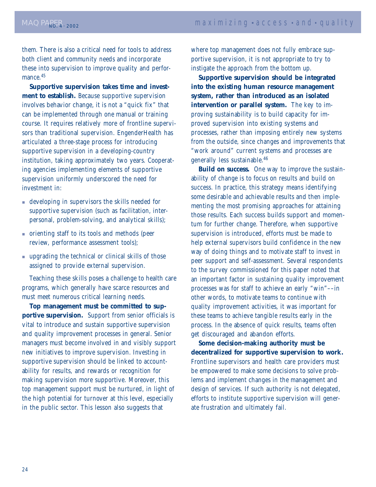them. There is also a critical need for tools to address both client and community needs and incorporate these into supervision to improve quality and performance.<sup>45</sup>

**Supportive supervision takes time and investment to establish.** Because supportive supervision involves behavior change, it is not a "quick fix" that can be implemented through one manual or training course. It requires relatively more of frontline supervisors than traditional supervision. EngenderHealth has articulated a three-stage process for introducing supportive supervision in a developing-country institution, taking approximately two years. Cooperating agencies implementing elements of supportive supervision uniformly underscored the need for investment in:

- developing in supervisors the skills needed for supportive supervision (such as facilitation, interpersonal, problem-solving, and analytical skills);
- orienting staff to its tools and methods (peer review, performance assessment tools);
- upgrading the technical or clinical skills of those assigned to provide external supervision.

Teaching these skills poses a challenge to health care programs, which generally have scarce resources and must meet numerous critical learning needs.

**Top management must be committed to supportive supervision.** Support from senior officials is vital to introduce and sustain supportive supervision and quality improvement processes in general. Senior managers must become involved in and visibly support new initiatives to improve supervision. Investing in supportive supervision should be linked to accountability for results, and rewards or recognition for making supervision more supportive. Moreover, this top management support must be nurtured, in light of the high potential for turnover at this level, especially in the public sector. This lesson also suggests that

where top management does not fully embrace supportive supervision, it is not appropriate to try to instigate the approach from the bottom up.

**Supportive supervision should be integrated into the existing human resource management system, rather than introduced as an isolated intervention or parallel system.** The key to improving sustainability is to build capacity for improved supervision into existing systems and processes, rather than imposing entirely new systems from the outside, since changes and improvements that "work around" current systems and processes are generally less sustainable.46

**Build on success.** One way to improve the sustainability of change is to focus on results and build on success. In practice, this strategy means identifying some desirable and achievable results and then implementing the most promising approaches for attaining those results. Each success builds support and momentum for further change. Therefore, when supportive supervision is introduced, efforts must be made to help external supervisors build confidence in the new way of doing things and to motivate staff to invest in peer support and self-assessment. Several respondents to the survey commissioned for this paper noted that an important factor in sustaining quality improvement processes was for staff to achieve an early "win"––in other words, to motivate teams to continue with quality improvement activities, it was important for these teams to achieve tangible results early in the process. In the absence of quick results, teams often get discouraged and abandon efforts.

**Some decision-making authority must be decentralized for supportive supervision to work.** Frontline supervisors and health care providers must be empowered to make some decisions to solve problems and implement changes in the management and design of services. If such authority is not delegated, efforts to institute supportive supervision will generate frustration and ultimately fail.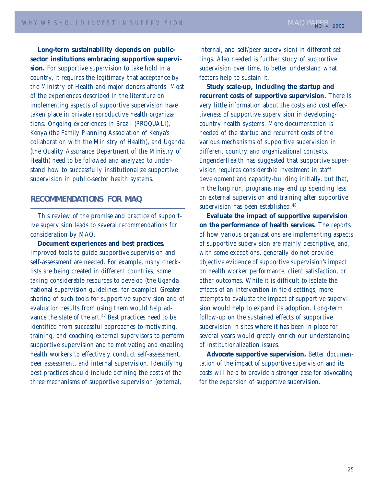**Long-term sustainability depends on publicsector institutions embracing supportive supervision.** For supportive supervision to take hold in a country, it requires the legitimacy that acceptance by the Ministry of Health and major donors affords. Most of the experiences described in the literature on implementing aspects of supportive supervision have taken place in private reproductive health organizations. Ongoing experiences in Brazil (PROQUALI), Kenya (the Family Planning Association of Kenya's collaboration with the Ministry of Health), and Uganda (the Quality Assurance Department of the Ministry of Health) need to be followed and analyzed to understand how to successfully institutionalize supportive supervision in public-sector health systems.

### **RECOMMENDATIONS FOR MAQ**

This review of the promise and practice of supportive supervision leads to several recommendations for consideration by MAQ.

**Document experiences and best practices.** Improved tools to guide supportive supervision and self-assessment are needed. For example, many checklists are being created in different countries, some taking considerable resources to develop (the Uganda national supervision guidelines, for example). Greater sharing of such tools for supportive supervision and of evaluation results from using them would help advance the state of the art.<sup>47</sup> Best practices need to be identified from successful approaches to motivating, training, and coaching external supervisors to perform supportive supervision and to motivating and enabling health workers to effectively conduct self-assessment, peer assessment, and internal supervision. Identifying best practices should include defining the costs of the three mechanisms of supportive supervision (external,

internal, and self/peer supervision) in different settings. Also needed is further study of supportive supervision over time, to better understand what factors help to sustain it.

**Study scale-up, including the startup and recurrent costs of supportive supervision.** There is very little information about the costs and cost effectiveness of supportive supervision in developingcountry health systems. More documentation is needed of the startup and recurrent costs of the various mechanisms of supportive supervision in different country and organizational contexts. EngenderHealth has suggested that supportive supervision requires considerable investment in staff development and capacity-building initially, but that, in the long run, programs may end up spending less on external supervision and training after supportive supervision has been established.<sup>48</sup>

**Evaluate the impact of supportive supervision on the performance of health services.** The reports of how various organizations are implementing aspects of supportive supervision are mainly descriptive, and, with some exceptions, generally do not provide objective evidence of supportive supervision's impact on health worker performance, client satisfaction, or other outcomes. While it is difficult to isolate the effects of an intervention in field settings, more attempts to evaluate the impact of supportive supervision would help to expand its adoption. Long-term follow-up on the sustained effects of supportive supervision in sites where it has been in place for several years would greatly enrich our understanding of institutionalization issues.

**Advocate supportive supervision.** Better documentation of the impact of supportive supervision and its costs will help to provide a stronger case for advocating for the expansion of supportive supervision.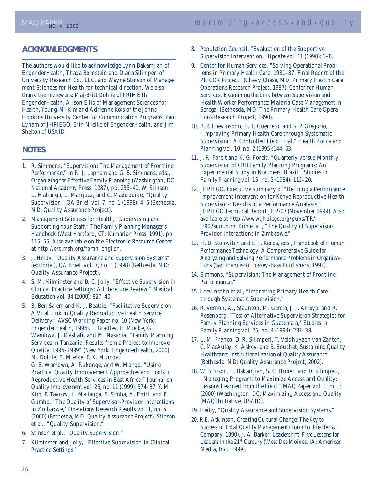### **ACKNOWLEDGMENTS**

The authors would like to acknowledge Lynn Bakamjian of EngenderHealth, Thada Bornstein and Diana Silimperi of University Research Co., LLC, and Wayne Stinson of Management Sciences for Health for technical direction. We also thank the reviewers: Maj-Britt Dohlie of PRIME II/ EngenderHealth, Alison Ellis of Management Sciences for Health, Young-Mi Kim and Adrienne Kols of the Johns Hopkins University Center for Communication Programs, Pam Lynam of JHPIEGO, Erin Mielke of EngenderHealth, and Jim Shelton of USAID.

### **NOTES**

- 1. R. Simmons, "Supervision: The Management of Frontline Performance," in R. J. Lapham and G. B. Simmons, eds., *Organizing for Effective Family Planning* (Washington, DC: National Academy Press, 1987), pp. 233–40. W. Stinson, L. Malianga, L. Marquez, and C. Madubuike, "Quality Supervision," *QA Brief* vol. 7, no. 1 (1998): 4–6 (Bethesda, MD: Quality Assurance Project).
- 2. Management Sciences for Health, "Supervising and Supporting Your Staff," *The Family Planning Manager's Handbook* (West Hartford, CT: Kumarian Press, 1991), pp. 115–55. Also available on the Electronic Resource Center at http://erc.msh.org/fpmh\_english.
- 3. J. Heiby, "Quality Assurance and Supervision Systems" (editorial), *QA Brief* vol. 7, no. 1 (1998) (Bethesda, MD: Quality Assurance Project).
- 4. S. M. Kilminster and B. C. Jolly, "Effective Supervision in Clinical Practice Settings: A Literature Review," *Medical Education* vol. 34 (2000): 827–40.
- 5. B. Ben Salem and K. J. Beattie, "Facilitative Supervision: A Vital Link in Quality Reproductive Health Service Delivery," AVSC Working Paper no. 10 (New York: EngenderHealth, 1996). J. Bradley, E. Mielke, G. Wambwa, J. Mashafi, and M. Nasania, "Family Planning Services in Tanzania: Results from a Project to Improve Quality, 1996–1999" (New York, EngenderHealth, 2000). M. Dohlie, E. Mielke, F. K. Mumba, G. E. Wambwa, A. Rukonge, and W. Mongo, "Using Practical Quality Improvement Approaches and Tools in Reproductive Health Services in East Africa," *Journal on Quality Improvement* vol. 25, no. 11 (1999): 574–87. Y. M. Kim, P. Tavrow, L. Malianga, S. Simba, A. Phiri, and P. Gumbo, "The Quality of Supervisor-Provider Interactions in Zimbabwe," *Operations Research Results* vol. 1, no. 5 (2000) (Bethesda, MD: Quality Assurance Project). Stinson et al., "Quality Supervision."
- 6. Stinson et al., "Quality Supervision."
- 7. Kilminster and Jolly, "Effective Supervision in Clinical Practice Settings."
- 8. Population Council, "Evaluation of the Supportive Supervision Intervention," *Update* vol. 11 (1998): 1–8.
- 9. Center for Human Services, "Solving Operational Problems in Primary Health Care, 1981–87: Final Report of the PRICOR Project*"* (Chevy Chase, MD: Primary Health Care Operations Research Project, 1987). Center for Human Services, *Examining the Link between Supervision and Health Worker Performance: Malaria Case Management in Senegal* (Bethesda, MD: The Primary Health Care Operations Research Project, 1990).
- 10. B. P. Loevinsohn, E. T. Guerrero, and S. P. Gregorio, "Improving Primary Health Care through Systematic Supervision: A Controlled Field Trial," *Health Policy and Planning* vol. 10, no. 2 (1995):144–53.
- 11. J. R. Foreit and K. G. Foreit, "Quarterly versus Monthly Supervision of CBD Family Planning Programs: An Experimental Study in Northeast Brazil," *Studies in Family Planning* vol. 15, no. 3 (1984): 112–20.
- 12. JHPIEGO, Executive Summary of "Defining a Performance Improvement Intervention for Kenya Reproductive Health Supervisors: Results of a Performance Analysis," JHPIEGO Technical Report JHP-07 (November 1999). Also available at http://www.jhpiego.org/pubs/TR/ tr907sum.htm. Kim et al., "The Quality of Supervisor-Provider Interactions in Zimbabwe."
- 13. H. D. Stolovitch and E. J. Keeps, eds., *Handbook of Human Performance Technology: A Comprehensive Guide for Analyzing and Solving Performance Problems in Organizations* (San Francisco: Jossey-Bass Publishers, 1992).
- 14. Simmons, "Supervision: The Management of Frontline Performance."
- 15. Loevinsohn et al., "Improving Primary Health Care through Systematic Supervision."
- 16. R. Vernon, A., Staunton, M. Garcia, J. J. Arroyo, and R. Rosenberg, "Test of Alternative Supervision Strategies for Family Planning Services in Guatemala," *Studies in Family Planning* vol. 25, no. 4 (1994): 232–38.
- 17. L. M. Franco, D. R. Silimperi, T. Veldhuyzen van Zanten, C. MacAulay, K. Askov, and B. Bouchet, *Sustaining Quality Healthcare: Institutionalization of Quality Assurance* (Bethesda, MD: Quality Assurance Project, 2002).
- 18. W. Stinson, L. Bakamjian, S. C. Huber, and D. Silimperi, "Managing Programs to Maximize Access and Quality: Lessons Learned from the Field," MAQ Paper vol. 1, no. 3 (2000) (Washington, DC: Maximizing Access and Quality [MAQ] Initiative, USAID).
- 19. Heiby, "Quality Assurance and Supervision Systems."
- 20. P. E. Atkinson, *Creating Cultural Change: The Key to Successful Total Quality Management* (Toronto: Pfeiffer & Company, 1990). J. A. Barker, *Leadershift: Five Lessons for Leaders in the 21st Century* (West Des Moines, IA: American Media, Inc., 1999).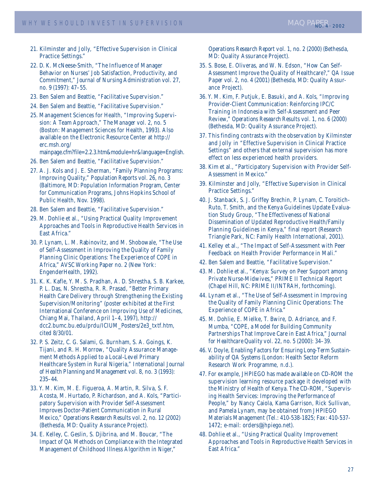- 21. Kilminster and Jolly, "Effective Supervision in Clinical Practice Settings."
- 22. D. K. McNeese-Smith, "The Influence of Manager Behavior on Nurses' Job Satisfaction, Productivity, and Commitment," *Journal of Nursing Administration* vol. 27, no. 9 (1997): 47–55.
- 23. Ben Salem and Beattie, "Facilitative Supervision."
- 24. Ben Salem and Beattie, "Facilitative Supervision."
- 25. Management Sciences for Health, "Improving Supervision: A Team Approach," *The Manager* vol. 2, no. 5 (Boston: Management Sciences for Health, 1993). Also available on the Electronic Resource Center at http:// erc.msh.org/

mainpage.cfm?file=2.2.3.htm&module=hr&language=English.

- 26. Ben Salem and Beattie, "Facilitative Supervision."
- 27. A. J. Kols and J. E. Sherman, "Family Planning Programs: Improving Quality," *Population Reports* vol. 26, no. 3 (Baltimore, MD: Population Information Program, Center for Communication Programs, Johns Hopkins School of Public Health, Nov. 1998).
- 28. Ben Salem and Beattie, "Facilitative Supervision."
- 29. M. Dohlie et al., "Using Practical Quality Improvement Approaches and Tools in Reproductive Health Services in East Africa."
- 30. P. Lynam, L. M. Rabinovitz, and M. Shobowale, "The Use of Self-Assessment in Improving the Quality of Family Planning Clinic Operations: The Experience of COPE in Africa," AVSC Working Paper no. 2 (New York: EngenderHealth, 1992).
- 31. K. K. Kafle, Y. M. S. Pradhan, A. D. Shrestha, S. B. Karkee, P. L. Das, N. Shrestha, R. R. Prasad, "Better Primary Health Care Delivery through Strengthening the Existing Supervision/Monitoring" (poster exhibited at the First International Conference on Improving Use of Medicines, Chiang Mai, Thailand, April 1–4, 1997), http:// dcc2.bumc.bu.edu/prdu/ICIUM\_Posters/2e3\_txtf.htm, cited 8/30/01.
- 32. P. S. Zeitz, C. G. Salami, G. Burnham, S. A. Goings, K. Tijani, and R. H. Morrow, "Quality Assurance Management Methods Applied to a Local-Level Primary Healthcare System in Rural Nigeria," *International Journal of Health Planning and Management* vol. 8, no. 3 (1993): 235–44.
- 33. Y. M. Kim, M. E. Figueroa, A. Martin, R. Silva, S. F. Acosta, M. Hurtado, P. Richardson, and A. Kols, "Participatory Supervision with Provider Self-Assessment Improves Doctor-Patient Communication in Rural Mexico," *Operations Research Results* vol. 2, no. 12 (2002) (Bethesda, MD: Quality Assurance Project).
- 34. E. Kelley, C. Geslin, S. Djibrina, and M. Boucar, "The Impact of QA Methods on Compliance with the Integrated Management of Childhood Illness Algorithm in Niger,"

*Operations Research Report* vol. 1, no. 2 (2000) (Bethesda, MD: Quality Assurance Project).

- 35. S. Bose, E. Oliveras, and W. N. Edson, "How Can Self-Assessment Improve the Quality of Healthcare?," *QA Issue Paper* vol. 2, no. 4 (2001) (Bethesda, MD: Quality Assurance Project).
- 36. Y. M. Kim, F. Putjuk, E. Basuki, and A. Kols, "Improving Provider-Client Communication: Reinforcing IPC/C Training in Indonesia with Self-Assessment and Peer Review," *Operations Research Results* vol. 1, no. 6 (2000) (Bethesda, MD: Quality Assurance Project).
- 37. This finding contrasts with the observation by Kilminster and Jolly in "Effective Supervision in Clinical Practice Settings" and others that external supervision has more effect on less experienced health providers.
- 38. Kim et al., "Participatory Supervision with Provider Self-Assessment in Mexico."
- 39. Kilminster and Jolly, "Effective Supervision in Clinical Practice Settings."
- 40. J. Stanback, S. J. Griffey Brechin, P. Lynam, C. Toroitich-Ruto, T. Smith, and the Kenya Guidelines Update Evaluation Study Group, "The Effectiveness of National Dissemination of Updated Reproductive Health/Family Planning Guidelines in Kenya," final report (Research Triangle Park, NC: Family Health International, 2001).
- 41. Kelley et al., "The Impact of Self-Assessment with Peer Feedback on Health Provider Performance in Mali."
- 42. Ben Salem and Beattie, "Facilitative Supervision."
- 43. M. Dohlie et al., "Kenya: Survey on Peer Support among Private Nurse-Midwives," PRIME II Technical Report (Chapel Hill, NC: PRIME II/INTRAH, forthcoming).
- 44. Lynam et al., "The Use of Self-Assessment in Improving the Quality of Family Planning Clinic Operations: The Experience of COPE in Africa."
- 45. M. Dohlie, E. Mielke, T. Bwire, D. Adriance, and F. Mumba, "COPE, a Model for Building Community Partnerships That Improve Care in East Africa," *Journal for Healthcare Quality* vol. 22, no. 5 (2000): 34–39.
- 46. V. Doyle, *Enabling Factors for Ensuring Long-Term Sustainability of QA Systems* (London: Health Sector Reform Research Work Programme, n.d.).
- 47. For example, JHPIEGO has made available on CD-ROM the supervision learning resource package it developed with the Ministry of Health of Kenya. The CD-ROM, "Supervising Health Services: Improving the Performance of People," by Nancy Caiola, Kama Garrison, Rick Sullivan, and Pamela Lynam, may be obtained from JHPIEGO Materials Management (Tel.: 410-538-1825; Fax: 410-537- 1472; e-mail: orders@jhpiego.net).
- 48. Dohlie et al., "Using Practical Quality Improvement Approaches and Tools in Reproductive Health Services in East Africa."